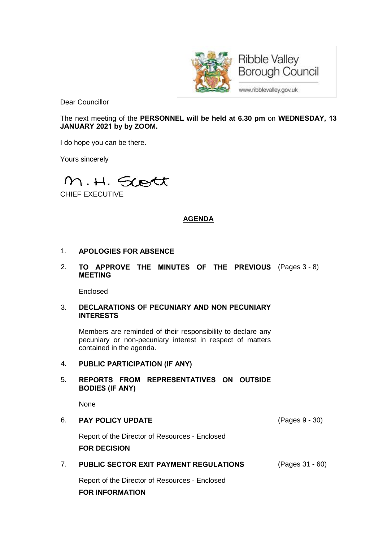

**Ribble Valley Borough Council** 

www.ribblevalley.gov.uk

Dear Councillor

The next meeting of the **PERSONNEL will be held at 6.30 pm** on **WEDNESDAY, 13 JANUARY 2021 by by ZOOM.**

I do hope you can be there.

Yours sincerely

M.H. Scott

CHIEF EXECUTIVE

# **AGENDA**

### 1. **APOLOGIES FOR ABSENCE**

2. **TO APPROVE THE MINUTES OF THE PREVIOUS** (Pages 3 - 8) **MEETING**

Enclosed

#### 3. **DECLARATIONS OF PECUNIARY AND NON PECUNIARY INTERESTS**

Members are reminded of their responsibility to declare any pecuniary or non-pecuniary interest in respect of matters contained in the agenda.

### 4. **PUBLIC PARTICIPATION (IF ANY)**

### 5. **REPORTS FROM REPRESENTATIVES ON OUTSIDE BODIES (IF ANY)**

None

6. **PAY POLICY UPDATE** (Pages 9 - 30) Report of the Director of Resources - Enclosed

**FOR DECISION**

7. **PUBLIC SECTOR EXIT PAYMENT REGULATIONS** (Pages 31 - 60) Report of the Director of Resources - Enclosed

**FOR INFORMATION**